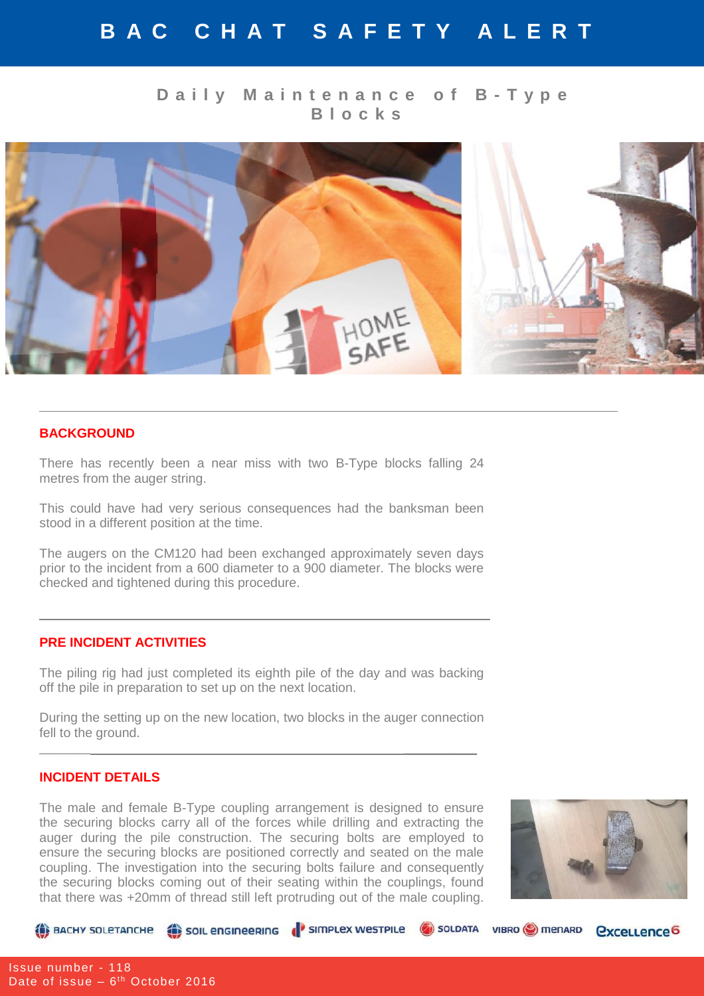# **B A C C H A T S A F E T Y A L E R T**

## **D a i l y M a i n t e n a n c e o f B - T y p e B l o c k s**



#### **BACKGROUND**

There has recently been a near miss with two B-Type blocks falling 24 metres from the auger string.

This could have had very serious consequences had the banksman been stood in a different position at the time.

The augers on the CM120 had been exchanged approximately seven days prior to the incident from a 600 diameter to a 900 diameter. The blocks were checked and tightened during this procedure.

### **PRE INCIDENT ACTIVITIES**

The piling rig had just completed its eighth pile of the day and was backing off the pile in preparation to set up on the next location.

During the setting up on the new location, two blocks in the auger connection fell to the ground.

\_\_\_\_\_\_\_ \_\_\_\_\_\_\_\_\_\_

#### **INCIDENT DETAILS**

The male and female B-Type coupling arrangement is designed to ensure the securing blocks carry all of the forces while drilling and extracting the auger during the pile construction. The securing bolts are employed to ensure the securing blocks are positioned correctly and seated on the male coupling. The investigation into the securing bolts failure and consequently the securing blocks coming out of their seating within the couplings, found that there was +20mm of thread still left protruding out of the male coupling.



*<u><u>Cxcellence</u>*</u>

BACHY SOLETANCHE (SOIL ENGINEERING (SIMPLEX WESTPILE C) SOLDATA VIBRO O MENARD